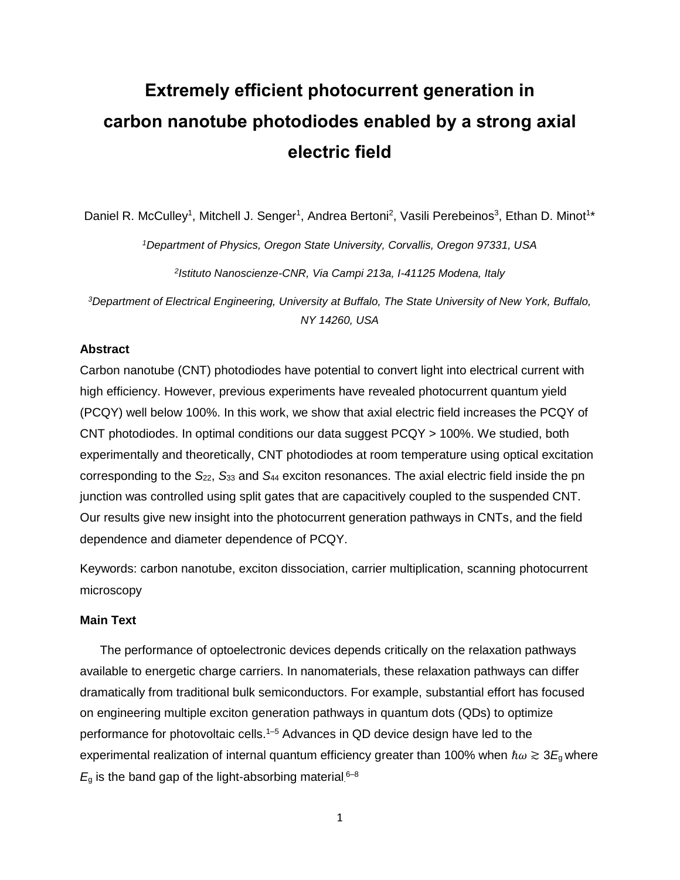# **Extremely efficient photocurrent generation in carbon nanotube photodiodes enabled by a strong axial electric field**

Daniel R. McCulley<sup>1</sup>, Mitchell J. Senger<sup>1</sup>, Andrea Bertoni<sup>2</sup>, Vasili Perebeinos<sup>3</sup>, Ethan D. Minot<sup>1\*</sup>

*<sup>1</sup>Department of Physics, Oregon State University, Corvallis, Oregon 97331, USA*

*2 Istituto Nanoscienze-CNR, Via Campi 213a, I-41125 Modena, Italy*

*<sup>3</sup>Department of Electrical Engineering, University at Buffalo, The State University of New York, Buffalo, NY 14260, USA*

#### **Abstract**

Carbon nanotube (CNT) photodiodes have potential to convert light into electrical current with high efficiency. However, previous experiments have revealed photocurrent quantum yield (PCQY) well below 100%. In this work, we show that axial electric field increases the PCQY of CNT photodiodes. In optimal conditions our data suggest PCQY > 100%. We studied, both experimentally and theoretically, CNT photodiodes at room temperature using optical excitation corresponding to the *S*22, *S*<sup>33</sup> and *S*<sup>44</sup> exciton resonances. The axial electric field inside the pn junction was controlled using split gates that are capacitively coupled to the suspended CNT. Our results give new insight into the photocurrent generation pathways in CNTs, and the field dependence and diameter dependence of PCQY.

Keywords: carbon nanotube, exciton dissociation, carrier multiplication, scanning photocurrent microscopy

#### **Main Text**

The performance of optoelectronic devices depends critically on the relaxation pathways available to energetic charge carriers. In nanomaterials, these relaxation pathways can differ dramatically from traditional bulk semiconductors. For example, substantial effort has focused on engineering multiple exciton generation pathways in quantum dots (QDs) to optimize performance for photovoltaic cells. 1–5 Advances in QD device design have led to the experimental realization of internal quantum efficiency greater than 100% when  $\hbar\omega \gtrsim 3E_{\text{g}}$  where  $E<sub>g</sub>$  is the band gap of the light-absorbing material.<sup>6-8</sup>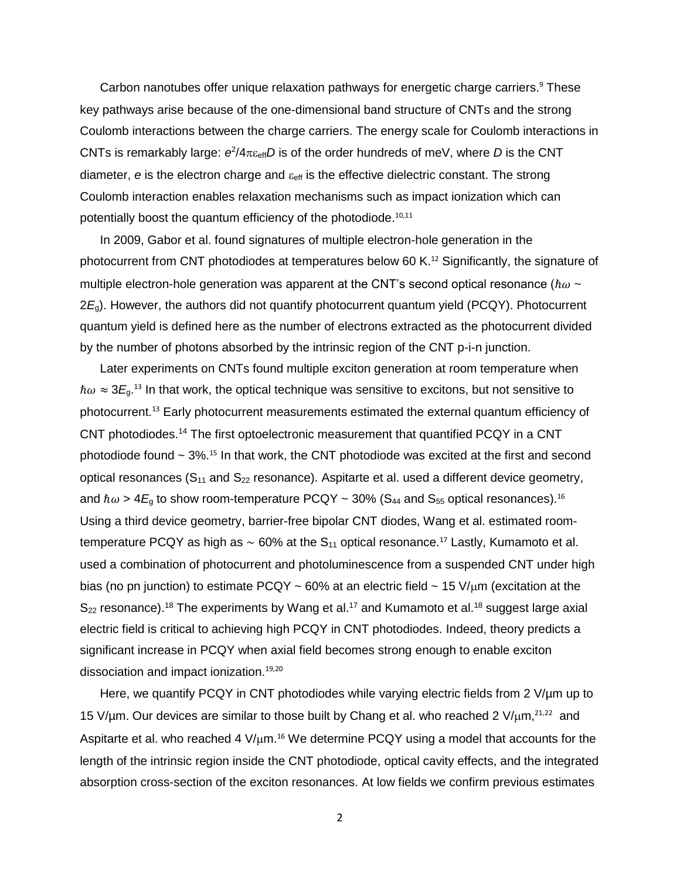Carbon nanotubes offer unique relaxation pathways for energetic charge carriers.<sup>9</sup> These key pathways arise because of the one-dimensional band structure of CNTs and the strong Coulomb interactions between the charge carriers. The energy scale for Coulomb interactions in CNTs is remarkably large:  $e^2/4\pi\varepsilon_{\text{eff}}$ D is of the order hundreds of meV, where D is the CNT diameter,  $e$  is the electron charge and  $\varepsilon_{\text{eff}}$  is the effective dielectric constant. The strong Coulomb interaction enables relaxation mechanisms such as impact ionization which can potentially boost the quantum efficiency of the photodiode.<sup>10,11</sup>

In 2009, Gabor et al. found signatures of multiple electron-hole generation in the photocurrent from CNT photodiodes at temperatures below 60 K.<sup>12</sup> Significantly, the signature of multiple electron-hole generation was apparent at the CNT's second optical resonance ( $\hbar\omega \sim$ 2*E*g). However, the authors did not quantify photocurrent quantum yield (PCQY). Photocurrent quantum yield is defined here as the number of electrons extracted as the photocurrent divided by the number of photons absorbed by the intrinsic region of the CNT p-i-n junction.

Later experiments on CNTs found multiple exciton generation at room temperature when  $\hbar\omega \approx 3E_g$ <sup>13</sup> In that work, the optical technique was sensitive to excitons, but not sensitive to photocurrent. <sup>13</sup> Early photocurrent measurements estimated the external quantum efficiency of CNT photodiodes.<sup>14</sup> The first optoelectronic measurement that quantified PCQY in a CNT photodiode found  $\sim 3\%$ .<sup>15</sup> In that work, the CNT photodiode was excited at the first and second optical resonances  $(S_{11}$  and  $S_{22}$  resonance). Aspitarte et al. used a different device geometry, and  $\hbar\omega$  > 4 $E_{\text{g}}$  to show room-temperature PCQY ~ 30% (S<sub>44</sub> and S<sub>55</sub> optical resonances). $^{16}$ Using a third device geometry, barrier-free bipolar CNT diodes, Wang et al. estimated roomtemperature PCQY as high as  $\sim$  60% at the S<sub>11</sub> optical resonance.<sup>17</sup> Lastly, Kumamoto et al. used a combination of photocurrent and photoluminescence from a suspended CNT under high bias (no pn junction) to estimate PCQY ~ 60% at an electric field ~ 15  $V/\mu$ m (excitation at the  $S_{22}$  resonance).<sup>18</sup> The experiments by Wang et al.<sup>17</sup> and Kumamoto et al.<sup>18</sup> suggest large axial electric field is critical to achieving high PCQY in CNT photodiodes. Indeed, theory predicts a significant increase in PCQY when axial field becomes strong enough to enable exciton dissociation and impact ionization.<sup>19,20</sup>

Here, we quantify PCQY in CNT photodiodes while varying electric fields from 2 V/µm up to 15 V/ $\mu$ m. Our devices are similar to those built by Chang et al. who reached 2 V/ $\mu$ m,<sup>21,22</sup> and Aspitarte et al. who reached 4  $V/\mu$ m.<sup>16</sup> We determine PCQY using a model that accounts for the length of the intrinsic region inside the CNT photodiode, optical cavity effects, and the integrated absorption cross-section of the exciton resonances. At low fields we confirm previous estimates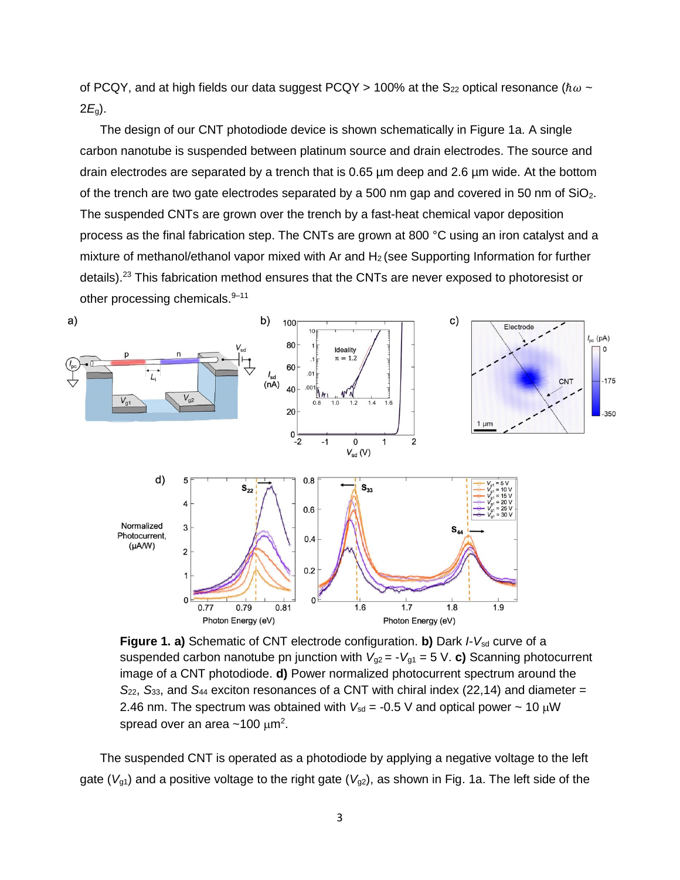of PCQY, and at high fields our data suggest PCQY > 100% at the S<sub>22</sub> optical resonance ( $\hbar\omega$  ~ 2*E*g).

The design of our CNT photodiode device is shown schematically in Figure 1a. A single carbon nanotube is suspended between platinum source and drain electrodes. The source and drain electrodes are separated by a trench that is 0.65 µm deep and 2.6 µm wide. At the bottom of the trench are two gate electrodes separated by a 500 nm gap and covered in 50 nm of  $SiO<sub>2</sub>$ . The suspended CNTs are grown over the trench by a fast-heat chemical vapor deposition process as the final fabrication step. The CNTs are grown at 800 °C using an iron catalyst and a mixture of methanol/ethanol vapor mixed with Ar and  $H_2$  (see Supporting Information for further details).<sup>23</sup> This fabrication method ensures that the CNTs are never exposed to photoresist or other processing chemicals.<sup>9-11</sup>



**Figure 1. a)** Schematic of CNT electrode configuration. **b)** Dark *I*-V<sub>sd</sub> curve of a suspended carbon nanotube pn junction with  $V_{g2} = -V_{g1} = 5$  V. **c)** Scanning photocurrent image of a CNT photodiode. **d)** Power normalized photocurrent spectrum around the *S*22, *S*33, and *S*<sup>44</sup> exciton resonances of a CNT with chiral index (22,14) and diameter = 2.46 nm. The spectrum was obtained with  $V_{sd}$  = -0.5 V and optical power  $\sim$  10  $\mu$ W spread over an area ~100  $\mu$ m<sup>2</sup>.

The suspended CNT is operated as a photodiode by applying a negative voltage to the left gate (*V*<sub>g1</sub>) and a positive voltage to the right gate (*V*<sub>g2</sub>), as shown in Fig. 1a. The left side of the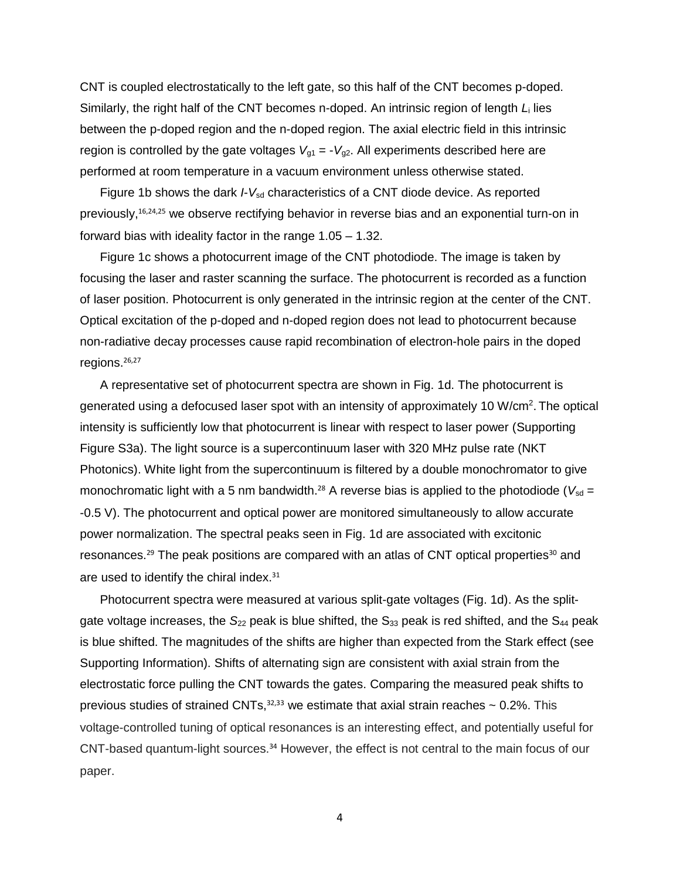CNT is coupled electrostatically to the left gate, so this half of the CNT becomes p-doped. Similarly, the right half of the CNT becomes n-doped. An intrinsic region of length *L*<sup>i</sup> lies between the p-doped region and the n-doped region. The axial electric field in this intrinsic region is controlled by the gate voltages  $V_{g1} = -V_{g2}$ . All experiments described here are performed at room temperature in a vacuum environment unless otherwise stated.

Figure 1b shows the dark *I*-V<sub>sd</sub> characteristics of a CNT diode device. As reported previously,<sup>16,24,25</sup> we observe rectifying behavior in reverse bias and an exponential turn-on in forward bias with ideality factor in the range 1.05 – 1.32.

Figure 1c shows a photocurrent image of the CNT photodiode. The image is taken by focusing the laser and raster scanning the surface. The photocurrent is recorded as a function of laser position. Photocurrent is only generated in the intrinsic region at the center of the CNT. Optical excitation of the p-doped and n-doped region does not lead to photocurrent because non-radiative decay processes cause rapid recombination of electron-hole pairs in the doped regions.<sup>26,27</sup>

A representative set of photocurrent spectra are shown in Fig. 1d. The photocurrent is generated using a defocused laser spot with an intensity of approximately 10 W/cm<sup>2</sup>. The optical intensity is sufficiently low that photocurrent is linear with respect to laser power (Supporting Figure S3a). The light source is a supercontinuum laser with 320 MHz pulse rate (NKT Photonics). White light from the supercontinuum is filtered by a double monochromator to give monochromatic light with a 5 nm bandwidth.<sup>28</sup> A reverse bias is applied to the photodiode ( $V_{sd}$  = -0.5 V). The photocurrent and optical power are monitored simultaneously to allow accurate power normalization. The spectral peaks seen in Fig. 1d are associated with excitonic resonances.<sup>29</sup> The peak positions are compared with an atlas of CNT optical properties<sup>30</sup> and are used to identify the chiral index.<sup>31</sup>

Photocurrent spectra were measured at various split-gate voltages (Fig. 1d). As the splitgate voltage increases, the S<sub>22</sub> peak is blue shifted, the S<sub>33</sub> peak is red shifted, and the S<sub>44</sub> peak is blue shifted. The magnitudes of the shifts are higher than expected from the Stark effect (see Supporting Information). Shifts of alternating sign are consistent with axial strain from the electrostatic force pulling the CNT towards the gates. Comparing the measured peak shifts to previous studies of strained CNTs,  $32,33$  we estimate that axial strain reaches  $\sim 0.2\%$ . This voltage-controlled tuning of optical resonances is an interesting effect, and potentially useful for CNT-based quantum-light sources.<sup>34</sup> However, the effect is not central to the main focus of our paper.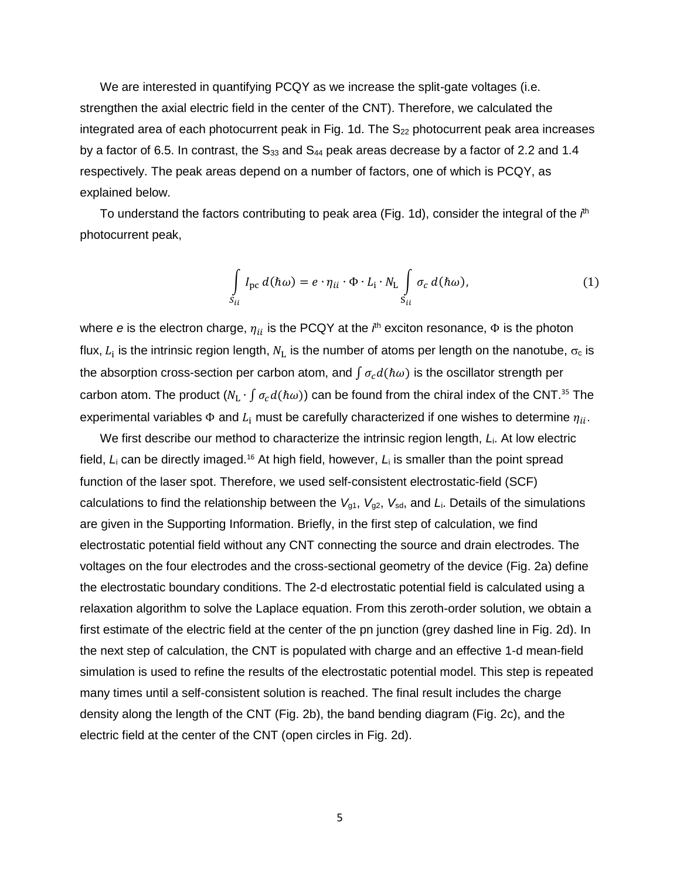We are interested in quantifying PCQY as we increase the split-gate voltages (i.e. strengthen the axial electric field in the center of the CNT). Therefore, we calculated the integrated area of each photocurrent peak in Fig. 1d. The  $S_{22}$  photocurrent peak area increases by a factor of 6.5. In contrast, the  $S_{33}$  and  $S_{44}$  peak areas decrease by a factor of 2.2 and 1.4 respectively. The peak areas depend on a number of factors, one of which is PCQY, as explained below.

To understand the factors contributing to peak area (Fig. 1d), consider the integral of the *i*<sup>th</sup> photocurrent peak,

$$
\int_{S_{ii}} I_{\text{pc}} d(\hbar \omega) = e \cdot \eta_{ii} \cdot \Phi \cdot L_i \cdot N_L \int_{S_{ii}} \sigma_c d(\hbar \omega), \tag{1}
$$

where *e* is the electron charge,  $\eta_{ii}$  is the PCQY at the *i*<sup>th</sup> exciton resonance, Φ is the photon flux,  $L_{\rm i}$  is the intrinsic region length,  $N_{\rm L}$  is the number of atoms per length on the nanotube,  $\sigma_{\rm c}$  is the absorption cross-section per carbon atom, and  $\int \sigma_r d(\hbar \omega)$  is the oscillator strength per carbon atom. The product  $(N_L \cdot \int \sigma_c d(h\omega))$  can be found from the chiral index of the CNT.<sup>35</sup> The experimental variables  $\Phi$  and  $L_i$  must be carefully characterized if one wishes to determine  $\eta_{ii}$ .

We first describe our method to characterize the intrinsic region length, *L*i. At low electric field, L<sub>i</sub> can be directly imaged.<sup>16</sup> At high field, however, L<sub>i</sub> is smaller than the point spread function of the laser spot. Therefore, we used self-consistent electrostatic-field (SCF) calculations to find the relationship between the  $V_{g1}$ ,  $V_{g2}$ ,  $V_{sd}$ , and  $L_i$ . Details of the simulations are given in the Supporting Information. Briefly, in the first step of calculation, we find electrostatic potential field without any CNT connecting the source and drain electrodes. The voltages on the four electrodes and the cross-sectional geometry of the device (Fig. 2a) define the electrostatic boundary conditions. The 2-d electrostatic potential field is calculated using a relaxation algorithm to solve the Laplace equation. From this zeroth-order solution, we obtain a first estimate of the electric field at the center of the pn junction (grey dashed line in Fig. 2d). In the next step of calculation, the CNT is populated with charge and an effective 1-d mean-field simulation is used to refine the results of the electrostatic potential model. This step is repeated many times until a self-consistent solution is reached. The final result includes the charge density along the length of the CNT (Fig. 2b), the band bending diagram (Fig. 2c), and the electric field at the center of the CNT (open circles in Fig. 2d).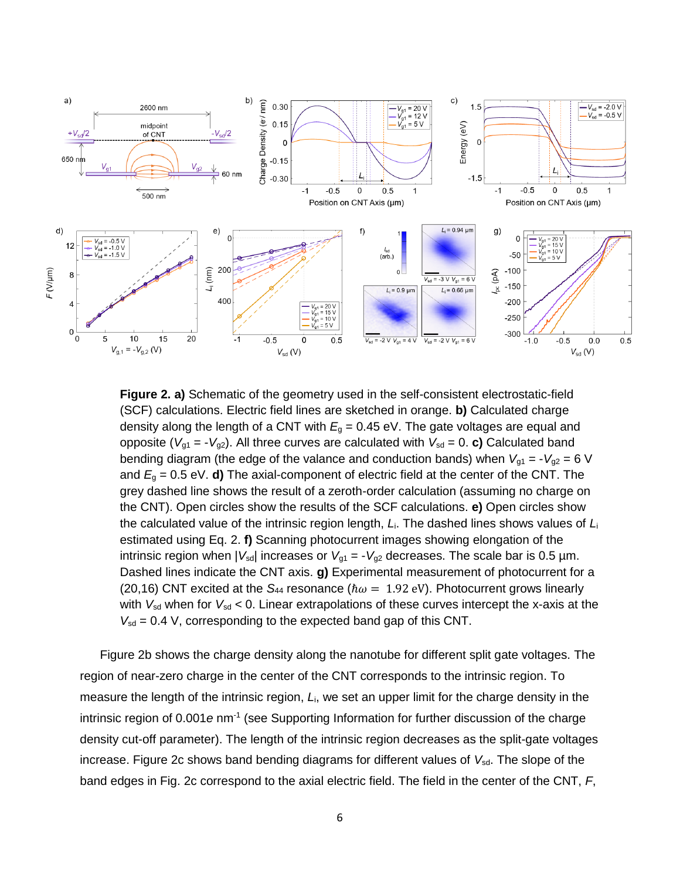

**Figure 2. a)** Schematic of the geometry used in the self-consistent electrostatic-field (SCF) calculations. Electric field lines are sketched in orange. **b)** Calculated charge density along the length of a CNT with  $E<sub>g</sub> = 0.45$  eV. The gate voltages are equal and opposite ( $V_{g1} = -V_{g2}$ ). All three curves are calculated with  $V_{sd} = 0$ . **c)** Calculated band bending diagram (the edge of the valance and conduction bands) when  $V_{g1} = -V_{g2} = 6$  V and  $E_q = 0.5$  eV. **d**) The axial-component of electric field at the center of the CNT. The grey dashed line shows the result of a zeroth-order calculation (assuming no charge on the CNT). Open circles show the results of the SCF calculations. **e)** Open circles show the calculated value of the intrinsic region length, *L*i. The dashed lines shows values of *L*<sup>i</sup> estimated using Eq. 2. **f)** Scanning photocurrent images showing elongation of the intrinsic region when  $|V_{sd}|$  increases or  $V_{q1} = -V_{q2}$  decreases. The scale bar is 0.5  $\mu$ m. Dashed lines indicate the CNT axis. **g)** Experimental measurement of photocurrent for a (20,16) CNT excited at the  $S_{44}$  resonance ( $\hbar \omega = 1.92$  eV). Photocurrent grows linearly with  $V_{sd}$  when for  $V_{sd}$  < 0. Linear extrapolations of these curves intercept the x-axis at the  $V_{sd}$  = 0.4 V, corresponding to the expected band gap of this CNT.

Figure 2b shows the charge density along the nanotube for different split gate voltages. The region of near-zero charge in the center of the CNT corresponds to the intrinsic region. To measure the length of the intrinsic region, *L*i, we set an upper limit for the charge density in the intrinsic region of 0.001 e nm<sup>-1</sup> (see Supporting Information for further discussion of the charge density cut-off parameter). The length of the intrinsic region decreases as the split-gate voltages increase. Figure 2c shows band bending diagrams for different values of V<sub>sd</sub>. The slope of the band edges in Fig. 2c correspond to the axial electric field. The field in the center of the CNT, *F*,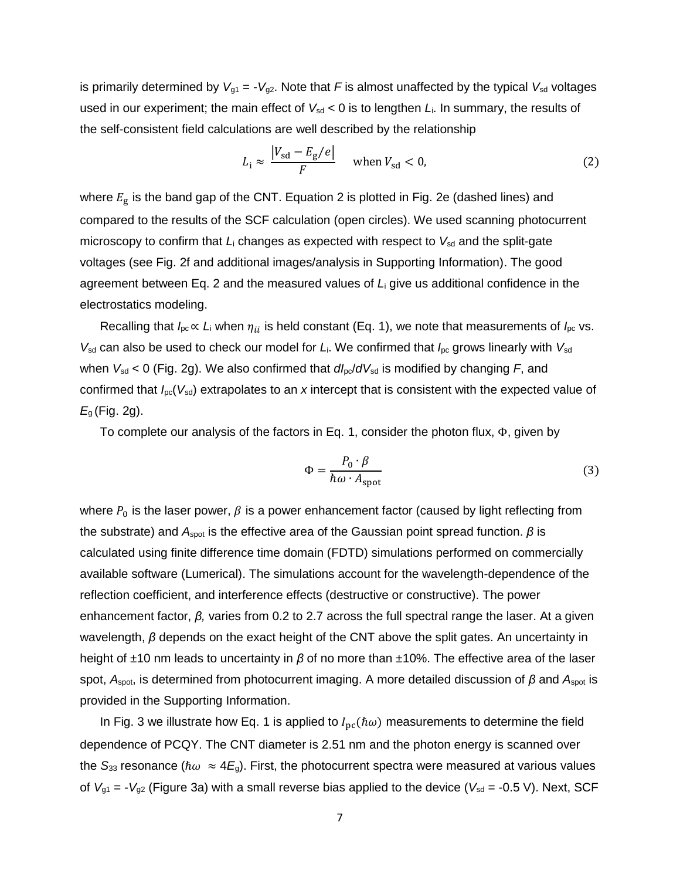is primarily determined by  $V_{g1} = -V_{g2}$ . Note that *F* is almost unaffected by the typical  $V_{sd}$  voltages used in our experiment; the main effect of  $V_{sd}$  < 0 is to lengthen  $L_i$ . In summary, the results of the self-consistent field calculations are well described by the relationship

$$
L_{\rm i} \approx \frac{|V_{\rm sd} - E_{\rm g}/e|}{F} \quad \text{when } V_{\rm sd} < 0,
$$
 (2)

where  $E_{\rm g}$  is the band gap of the CNT. Equation 2 is plotted in Fig. 2e (dashed lines) and compared to the results of the SCF calculation (open circles). We used scanning photocurrent microscopy to confirm that *L*<sub>i</sub> changes as expected with respect to V<sub>sd</sub> and the split-gate voltages (see Fig. 2f and additional images/analysis in Supporting Information). The good agreement between Eq. 2 and the measured values of *L*<sup>i</sup> give us additional confidence in the electrostatics modeling.

Recalling that  $I_{\text{pc}} \propto L_i$  when  $\eta_{ii}$  is held constant (Eq. 1), we note that measurements of  $I_{\text{pc}}$  vs.  $V_{sd}$  can also be used to check our model for  $L_i$ . We confirmed that  $I_{pc}$  grows linearly with  $V_{sd}$ when  $V_{sd}$  < 0 (Fig. 2g). We also confirmed that  $dI_{pc}/dV_{sd}$  is modified by changing *F*, and confirmed that *I*pc(*V*sd) extrapolates to an *x* intercept that is consistent with the expected value of *E*<sup>g</sup> (Fig. 2g).

To complete our analysis of the factors in Eq. 1, consider the photon flux, Φ, given by

$$
\Phi = \frac{P_0 \cdot \beta}{\hbar \omega \cdot A_{\text{spot}}} \tag{3}
$$

where  $P_0$  is the laser power,  $\beta$  is a power enhancement factor (caused by light reflecting from the substrate) and *A<sup>s</sup>*pot is the effective area of the Gaussian point spread function. *β* is calculated using finite difference time domain (FDTD) simulations performed on commercially available software (Lumerical). The simulations account for the wavelength-dependence of the reflection coefficient, and interference effects (destructive or constructive). The power enhancement factor, *β,* varies from 0.2 to 2.7 across the full spectral range the laser. At a given wavelength, *β* depends on the exact height of the CNT above the split gates. An uncertainty in height of ±10 nm leads to uncertainty in *β* of no more than ±10%. The effective area of the laser spot, *A*spot, is determined from photocurrent imaging. A more detailed discussion of *β* and *A*spot is provided in the Supporting Information.

In Fig. 3 we illustrate how Eq. 1 is applied to  $I_{\text{pc}}(\hbar\omega)$  measurements to determine the field dependence of PCQY. The CNT diameter is 2.51 nm and the photon energy is scanned over the  $S_{33}$  resonance ( $\hbar \omega \approx 4E_q$ ). First, the photocurrent spectra were measured at various values of  $V_{g1} = -V_{g2}$  (Figure 3a) with a small reverse bias applied to the device ( $V_{sd} = -0.5$  V). Next, SCF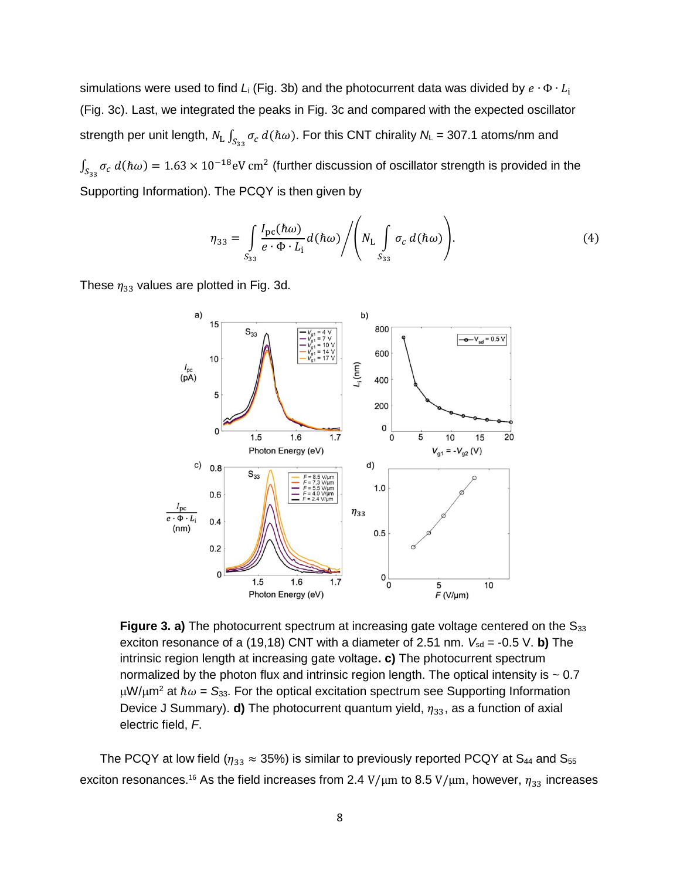simulations were used to find  $L_i$  (Fig. 3b) and the photocurrent data was divided by  $e \cdot \Phi \cdot L_i$ (Fig. 3c). Last, we integrated the peaks in Fig. 3c and compared with the expected oscillator strength per unit length,  $N_{\rm L} \int_{S_{33}} \sigma_c \ d(\hbar \omega).$  For this CNT chirality  $N_{\rm L}$  = 307.1 atoms/nm and  $\int_{S_{33}} \sigma_c d(\hbar \omega) = 1.63 \times 10^{-18} \text{eV cm}^2$  (further discussion of oscillator strength is provided in the Supporting Information). The PCQY is then given by

$$
\eta_{33} = \int\limits_{S_{33}} \frac{I_{\rm pc}(\hbar\omega)}{e \cdot \Phi \cdot L_{\rm i}} d(\hbar\omega) / \left( N_{\rm L} \int\limits_{S_{33}} \sigma_c d(\hbar\omega) \right).
$$
 (4)

These  $\eta_{33}$  values are plotted in Fig. 3d.



Figure 3. a) The photocurrent spectrum at increasing gate voltage centered on the S<sub>33</sub> exciton resonance of a (19,18) CNT with a diameter of 2.51 nm.  $V_{sd} = -0.5$  V. b) The intrinsic region length at increasing gate voltage**. c)** The photocurrent spectrum normalized by the photon flux and intrinsic region length. The optical intensity is  $\sim 0.7$  $\mu$ W/ $\mu$ m<sup>2</sup> at  $\hbar \omega = S_{33}$ . For the optical excitation spectrum see Supporting Information Device J Summary). **d)** The photocurrent quantum yield,  $\eta_{33}$ , as a function of axial electric field, *F*.

The PCQY at low field ( $\eta_{33} \approx 35\%$ ) is similar to previously reported PCQY at S<sub>44</sub> and S<sub>55</sub> exciton resonances.<sup>16</sup> As the field increases from 2.4 V/μm to 8.5 V/μm, however,  $\eta_{33}$  increases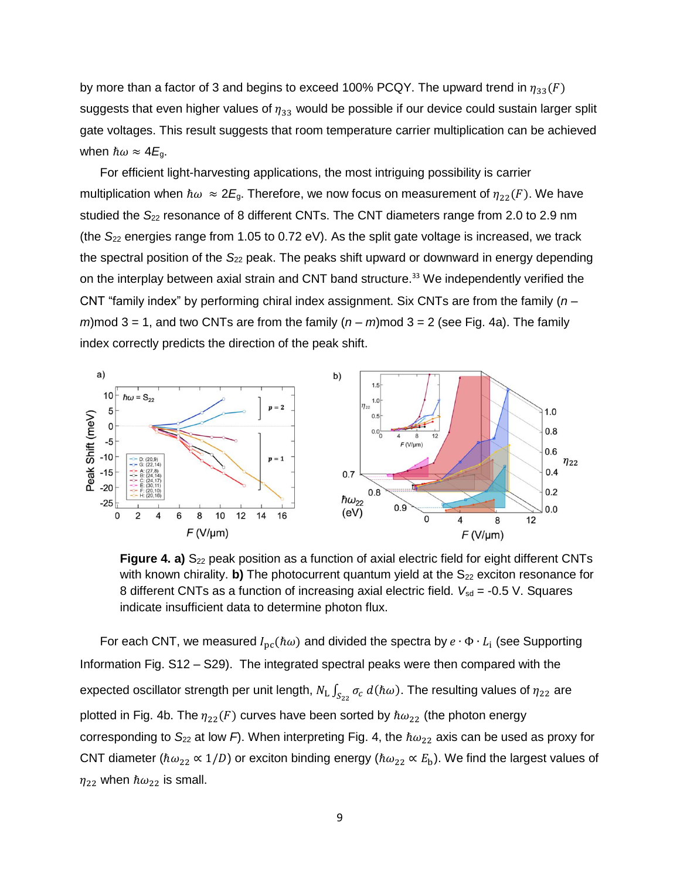by more than a factor of 3 and begins to exceed 100% PCQY. The upward trend in  $\eta_{33}(F)$ suggests that even higher values of  $\eta_{33}$  would be possible if our device could sustain larger split gate voltages. This result suggests that room temperature carrier multiplication can be achieved when  $\hbar \omega \approx 4E_g$ .

For efficient light-harvesting applications, the most intriguing possibility is carrier multiplication when  $\hbar \omega \approx 2E_g$ . Therefore, we now focus on measurement of  $\eta_{22}(F)$ . We have studied the S<sub>22</sub> resonance of 8 different CNTs. The CNT diameters range from 2.0 to 2.9 nm (the *S*<sup>22</sup> energies range from 1.05 to 0.72 eV). As the split gate voltage is increased, we track the spectral position of the S<sub>22</sub> peak. The peaks shift upward or downward in energy depending on the interplay between axial strain and CNT band structure.<sup>33</sup> We independently verified the CNT "family index" by performing chiral index assignment. Six CNTs are from the family (*n* – *m*)mod 3 = 1, and two CNTs are from the family  $(n - m)$  mod 3 = 2 (see Fig. 4a). The family index correctly predicts the direction of the peak shift.



**Figure 4. a)** S<sub>22</sub> peak position as a function of axial electric field for eight different CNTs with known chirality. **b)** The photocurrent quantum yield at the S<sub>22</sub> exciton resonance for 8 different CNTs as a function of increasing axial electric field.  $V_{sd}$  = -0.5 V. Squares indicate insufficient data to determine photon flux.

For each CNT, we measured  $I_{\text{pc}}(\hbar\omega)$  and divided the spectra by  $e\cdot\Phi\cdot L_{\text{i}}$  (see Supporting Information Fig. S12 – S29). The integrated spectral peaks were then compared with the expected oscillator strength per unit length,  $N_{\rm L} \int_{S_{22}} \sigma_c\ d(\hbar\omega).$  The resulting values of  $\eta_{22}$  are plotted in Fig. 4b. The  $\eta_{22}(F)$  curves have been sorted by  $\hbar \omega_{22}$  (the photon energy corresponding to  $S_{22}$  at low *F*). When interpreting Fig. 4, the  $\hbar\omega_{22}$  axis can be used as proxy for CNT diameter ( $\hbar\omega_{22} \propto 1/D$ ) or exciton binding energy ( $\hbar\omega_{22} \propto E_b$ ). We find the largest values of  $\eta_{22}$  when  $\hbar \omega_{22}$  is small.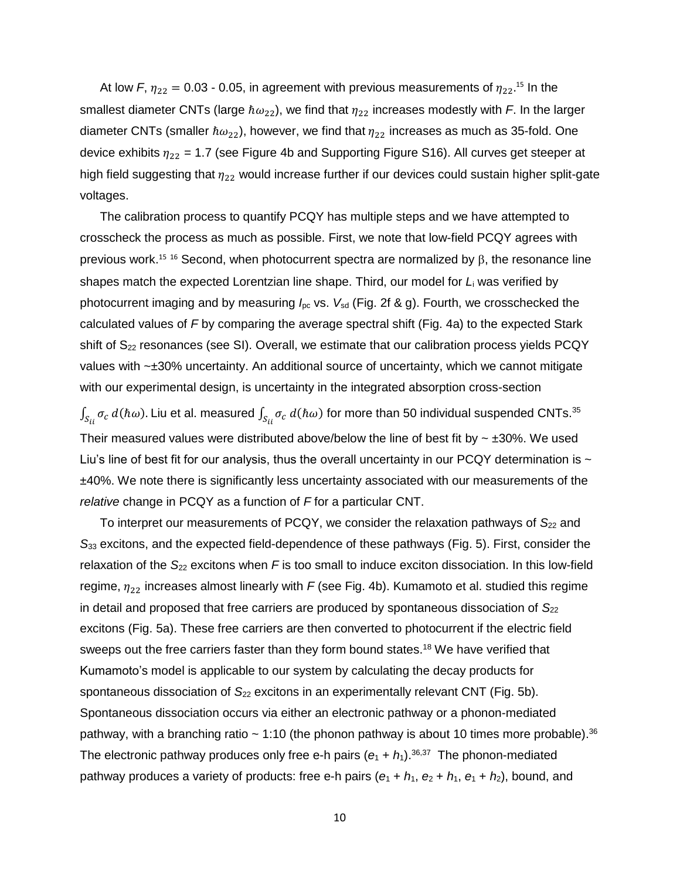At low F,  $\eta_{22} = 0.03$  - 0.05, in agreement with previous measurements of  $\eta_{22}$ .<sup>15</sup> In the smallest diameter CNTs (large  $\hbar \omega_{22}$ ), we find that  $\eta_{22}$  increases modestly with *F*. In the larger diameter CNTs (smaller  $\hbar \omega_{22}$ ), however, we find that  $\eta_{22}$  increases as much as 35-fold. One device exhibits  $\eta_{22}$  = 1.7 (see Figure 4b and Supporting Figure S16). All curves get steeper at high field suggesting that  $\eta_{22}$  would increase further if our devices could sustain higher split-gate voltages.

The calibration process to quantify PCQY has multiple steps and we have attempted to crosscheck the process as much as possible. First, we note that low-field PCQY agrees with previous work.<sup>15 16</sup> Second, when photocurrent spectra are normalized by  $\beta$ , the resonance line shapes match the expected Lorentzian line shape. Third, our model for *L*<sup>i</sup> was verified by photocurrent imaging and by measuring  $I_{\text{pc}}$  vs.  $V_{\text{sd}}$  (Fig. 2f & g). Fourth, we crosschecked the calculated values of *F* by comparing the average spectral shift (Fig. 4a) to the expected Stark shift of  $S_{22}$  resonances (see SI). Overall, we estimate that our calibration process yields PCQY values with ~±30% uncertainty. An additional source of uncertainty, which we cannot mitigate with our experimental design, is uncertainty in the integrated absorption cross-section

 $\int_{S_{ii}}\sigma_c\ d(\hbar\omega)$ . Liu et al. measured  $\int_{S_{ii}}\sigma_c\ d(\hbar\omega)$  for more than 50 individual suspended CNTs. $^{35}$ Their measured values were distributed above/below the line of best fit by  $\sim \pm 30\%$ . We used Liu's line of best fit for our analysis, thus the overall uncertainty in our PCQY determination is  $\sim$ ±40%. We note there is significantly less uncertainty associated with our measurements of the *relative* change in PCQY as a function of *F* for a particular CNT.

To interpret our measurements of PCQY, we consider the relaxation pathways of S<sub>22</sub> and *S*<sup>33</sup> excitons, and the expected field-dependence of these pathways (Fig. 5). First, consider the relaxation of the S<sub>22</sub> excitons when F is too small to induce exciton dissociation. In this low-field regime,  $\eta_{22}$  increases almost linearly with *F* (see Fig. 4b). Kumamoto et al. studied this regime in detail and proposed that free carriers are produced by spontaneous dissociation of S<sub>22</sub> excitons (Fig. 5a). These free carriers are then converted to photocurrent if the electric field sweeps out the free carriers faster than they form bound states.<sup>18</sup> We have verified that Kumamoto's model is applicable to our system by calculating the decay products for spontaneous dissociation of  $S_{22}$  excitons in an experimentally relevant CNT (Fig. 5b). Spontaneous dissociation occurs via either an electronic pathway or a phonon-mediated pathway, with a branching ratio ~ 1:10 (the phonon pathway is about 10 times more probable).<sup>36</sup> The electronic pathway produces only free e-h pairs  $(e_1 + h_1)$ .<sup>36,37</sup> The phonon-mediated pathway produces a variety of products: free e-h pairs  $(e_1 + h_1, e_2 + h_1, e_1 + h_2)$ , bound, and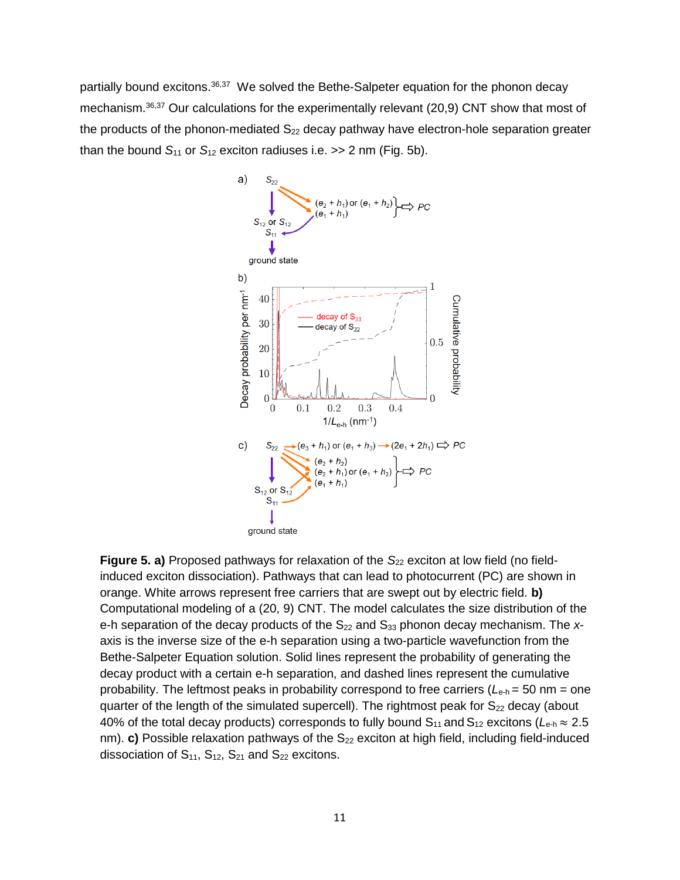partially bound excitons.<sup>36,37</sup> We solved the Bethe-Salpeter equation for the phonon decay mechanism.<sup>36,37</sup> Our calculations for the experimentally relevant (20,9) CNT show that most of the products of the phonon-mediated  $S_{22}$  decay pathway have electron-hole separation greater than the bound  $S_{11}$  or  $S_{12}$  exciton radiuses i.e.  $>> 2$  nm (Fig. 5b).



**Figure 5. a)** Proposed pathways for relaxation of the S<sub>22</sub> exciton at low field (no fieldinduced exciton dissociation). Pathways that can lead to photocurrent (PC) are shown in orange. White arrows represent free carriers that are swept out by electric field. **b)** Computational modeling of a (20, 9) CNT. The model calculates the size distribution of the e-h separation of the decay products of the  $S_{22}$  and  $S_{33}$  phonon decay mechanism. The  $x$ axis is the inverse size of the e-h separation using a two-particle wavefunction from the Bethe-Salpeter Equation solution. Solid lines represent the probability of generating the decay product with a certain e-h separation, and dashed lines represent the cumulative probability. The leftmost peaks in probability correspond to free carriers (*L*e-h = 50 nm = one quarter of the length of the simulated supercell). The rightmost peak for  $S_{22}$  decay (about 40% of the total decay products) corresponds to fully bound  $S_{11}$  and  $S_{12}$  excitons ( $L_{e-h} \approx 2.5$ nm). **c)** Possible relaxation pathways of the S<sub>22</sub> exciton at high field, including field-induced dissociation of  $S_{11}$ ,  $S_{12}$ ,  $S_{21}$  and  $S_{22}$  excitons.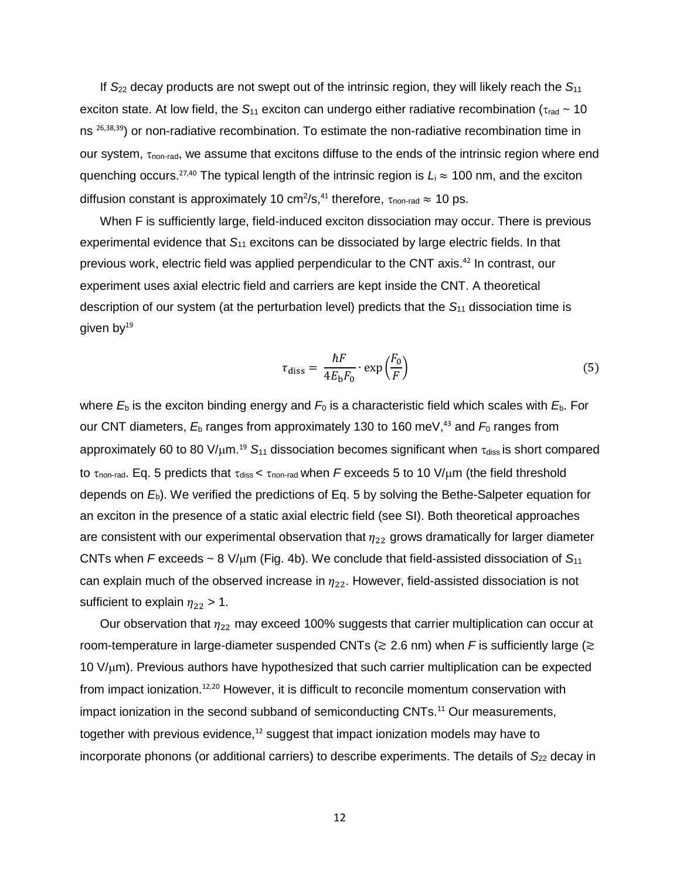If *S*<sup>22</sup> decay products are not swept out of the intrinsic region, they will likely reach the *S*<sup>11</sup> exciton state. At low field, the  $S_{11}$  exciton can undergo either radiative recombination ( $\tau_{rad} \sim 10$ ) ns <sup>26,38,39</sup>) or non-radiative recombination. To estimate the non-radiative recombination time in our system,  $\tau_{\text{non-rad}}$ , we assume that excitons diffuse to the ends of the intrinsic region where end quenching occurs.<sup>27,40</sup> The typical length of the intrinsic region is L<sub>i</sub> ≈ 100 nm, and the exciton diffusion constant is approximately 10 cm<sup>2</sup>/s,<sup>41</sup> therefore,  $\tau_{\text{non-rad}} \approx 10 \text{ ps}.$ 

When F is sufficiently large, field-induced exciton dissociation may occur. There is previous experimental evidence that *S*<sup>11</sup> excitons can be dissociated by large electric fields. In that previous work, electric field was applied perpendicular to the CNT axis.<sup>42</sup> In contrast, our experiment uses axial electric field and carriers are kept inside the CNT. A theoretical description of our system (at the perturbation level) predicts that the *S*<sup>11</sup> dissociation time is given by $19$ 

$$
\tau_{\text{diss}} = \frac{\hbar F}{4E_{\text{b}}F_0} \cdot \exp\left(\frac{F_0}{F}\right) \tag{5}
$$

where  $E<sub>b</sub>$  is the exciton binding energy and  $F<sub>0</sub>$  is a characteristic field which scales with  $E<sub>b</sub>$ . For our CNT diameters,  $E_{\text{b}}$  ranges from approximately 130 to 160 meV,<sup>43</sup> and  $F_{0}$  ranges from approximately 60 to 80 V/µm.<sup>19</sup> S<sub>11</sub> dissociation becomes significant when  $\tau_{\text{diss}}$  is short compared to  $\tau_{\text{non-rad}}$ . Eq. 5 predicts that  $\tau_{\text{diss}}$  <  $\tau_{\text{non-rad}}$  when *F* exceeds 5 to 10 V/ $\mu$ m (the field threshold depends on *E*b). We verified the predictions of Eq. 5 by solving the Bethe-Salpeter equation for an exciton in the presence of a static axial electric field (see SI). Both theoretical approaches are consistent with our experimental observation that  $\eta_{22}$  grows dramatically for larger diameter CNTs when *F* exceeds  $\sim$  8 V/ $\mu$ m (Fig. 4b). We conclude that field-assisted dissociation of  $S_{11}$ can explain much of the observed increase in  $\eta_{22}$ . However, field-assisted dissociation is not sufficient to explain  $\eta_{22} > 1$ .

Our observation that  $\eta_{22}$  may exceed 100% suggests that carrier multiplication can occur at room-temperature in large-diameter suspended CNTs (≳ 2.6 nm) when *F* is sufficiently large (≳ 10 V/m). Previous authors have hypothesized that such carrier multiplication can be expected from impact ionization.<sup>12,20</sup> However, it is difficult to reconcile momentum conservation with impact ionization in the second subband of semiconducting CNTs.<sup>11</sup> Our measurements, together with previous evidence, $12$  suggest that impact ionization models may have to incorporate phonons (or additional carriers) to describe experiments. The details of S<sub>22</sub> decay in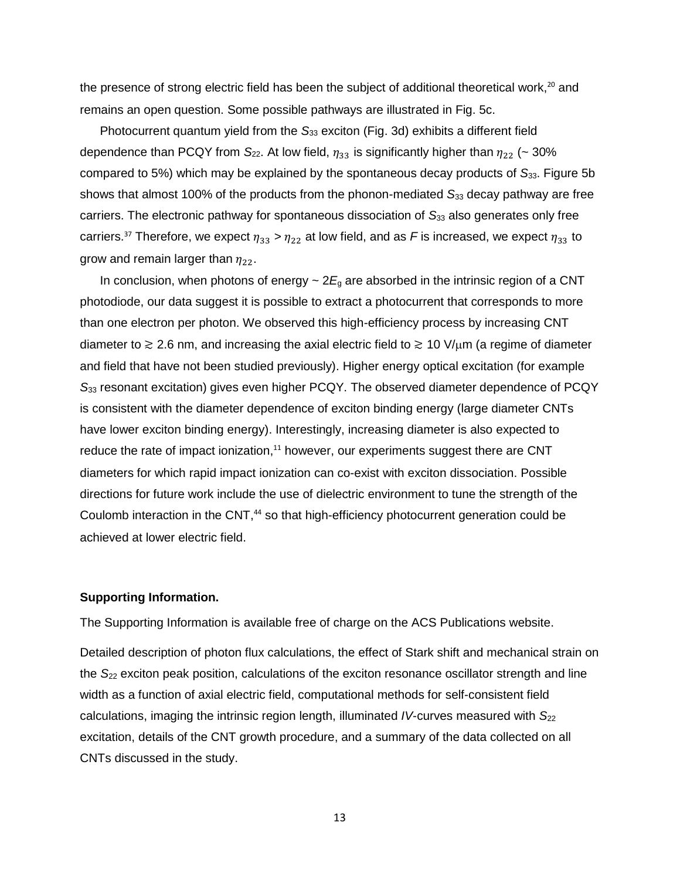the presence of strong electric field has been the subject of additional theoretical work,<sup>20</sup> and remains an open question. Some possible pathways are illustrated in Fig. 5c.

Photocurrent quantum yield from the *S*<sup>33</sup> exciton (Fig. 3d) exhibits a different field dependence than PCQY from  $S_{22}$ . At low field,  $\eta_{33}$  is significantly higher than  $\eta_{22}$  (~ 30% compared to 5%) which may be explained by the spontaneous decay products of *S*33. Figure 5b shows that almost 100% of the products from the phonon-mediated S<sub>33</sub> decay pathway are free carriers. The electronic pathway for spontaneous dissociation of S<sub>33</sub> also generates only free carriers.<sup>37</sup> Therefore, we expect  $\eta_{33} > \eta_{22}$  at low field, and as *F* is increased, we expect  $\eta_{33}$  to grow and remain larger than  $\eta_{22}$ .

In conclusion, when photons of energy  $\sim$  2 $E<sub>g</sub>$  are absorbed in the intrinsic region of a CNT photodiode, our data suggest it is possible to extract a photocurrent that corresponds to more than one electron per photon. We observed this high-efficiency process by increasing CNT diameter to  $\gtrsim$  2.6 nm, and increasing the axial electric field to  $\gtrsim$  10 V/ $\mu$ m (a regime of diameter and field that have not been studied previously). Higher energy optical excitation (for example *S*<sup>33</sup> resonant excitation) gives even higher PCQY. The observed diameter dependence of PCQY is consistent with the diameter dependence of exciton binding energy (large diameter CNTs have lower exciton binding energy). Interestingly, increasing diameter is also expected to reduce the rate of impact ionization,<sup>11</sup> however, our experiments suggest there are CNT diameters for which rapid impact ionization can co-exist with exciton dissociation. Possible directions for future work include the use of dielectric environment to tune the strength of the Coulomb interaction in the CNT,<sup>44</sup> so that high-efficiency photocurrent generation could be achieved at lower electric field.

#### **Supporting Information.**

The Supporting Information is available free of charge on the ACS Publications website.

Detailed description of photon flux calculations, the effect of Stark shift and mechanical strain on the *S*<sup>22</sup> exciton peak position, calculations of the exciton resonance oscillator strength and line width as a function of axial electric field, computational methods for self-consistent field calculations, imaging the intrinsic region length, illuminated *IV*-curves measured with *S*<sup>22</sup> excitation, details of the CNT growth procedure, and a summary of the data collected on all CNTs discussed in the study.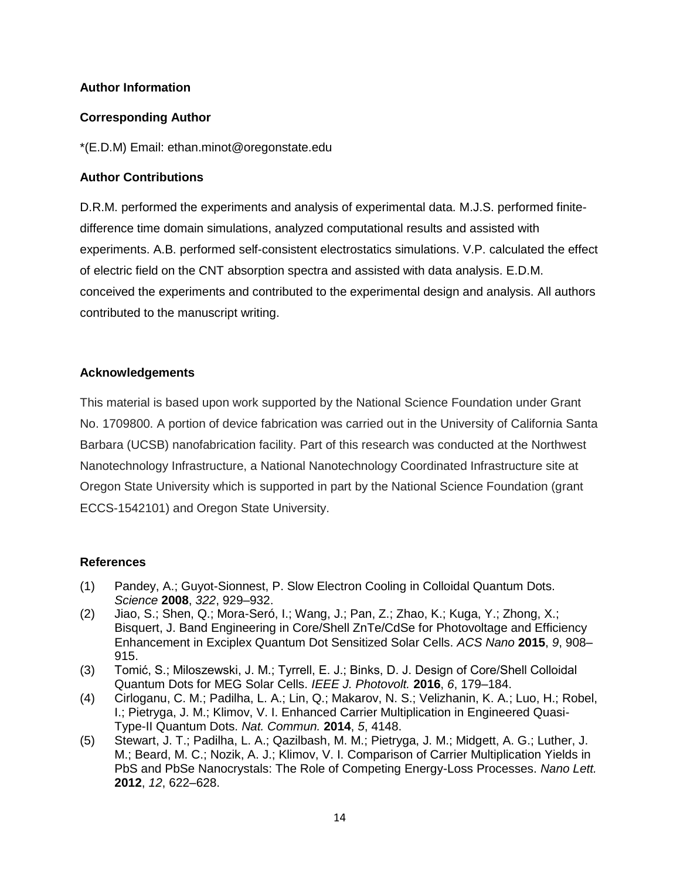# **Author Information**

# **Corresponding Author**

\*(E.D.M) Email: ethan.minot@oregonstate.edu

# **Author Contributions**

D.R.M. performed the experiments and analysis of experimental data. M.J.S. performed finitedifference time domain simulations, analyzed computational results and assisted with experiments. A.B. performed self-consistent electrostatics simulations. V.P. calculated the effect of electric field on the CNT absorption spectra and assisted with data analysis. E.D.M. conceived the experiments and contributed to the experimental design and analysis. All authors contributed to the manuscript writing.

#### **Acknowledgements**

This material is based upon work supported by the National Science Foundation under Grant No. 1709800. A portion of device fabrication was carried out in the University of California Santa Barbara (UCSB) nanofabrication facility. Part of this research was conducted at the Northwest Nanotechnology Infrastructure, a National Nanotechnology Coordinated Infrastructure site at Oregon State University which is supported in part by the National Science Foundation (grant ECCS-1542101) and Oregon State University.

# **References**

- (1) Pandey, A.; Guyot-Sionnest, P. Slow Electron Cooling in Colloidal Quantum Dots. *Science* **2008**, *322*, 929–932.
- (2) Jiao, S.; Shen, Q.; Mora-Seró, I.; Wang, J.; Pan, Z.; Zhao, K.; Kuga, Y.; Zhong, X.; Bisquert, J. Band Engineering in Core/Shell ZnTe/CdSe for Photovoltage and Efficiency Enhancement in Exciplex Quantum Dot Sensitized Solar Cells. *ACS Nano* **2015**, *9*, 908– 915.
- (3) Tomić, S.; Miloszewski, J. M.; Tyrrell, E. J.; Binks, D. J. Design of Core/Shell Colloidal Quantum Dots for MEG Solar Cells. *IEEE J. Photovolt.* **2016**, *6*, 179–184.
- (4) Cirloganu, C. M.; Padilha, L. A.; Lin, Q.; Makarov, N. S.; Velizhanin, K. A.; Luo, H.; Robel, I.; Pietryga, J. M.; Klimov, V. I. Enhanced Carrier Multiplication in Engineered Quasi-Type-II Quantum Dots. *Nat. Commun.* **2014**, *5*, 4148.
- (5) Stewart, J. T.; Padilha, L. A.; Qazilbash, M. M.; Pietryga, J. M.; Midgett, A. G.; Luther, J. M.; Beard, M. C.; Nozik, A. J.; Klimov, V. I. Comparison of Carrier Multiplication Yields in PbS and PbSe Nanocrystals: The Role of Competing Energy-Loss Processes. *Nano Lett.* **2012**, *12*, 622–628.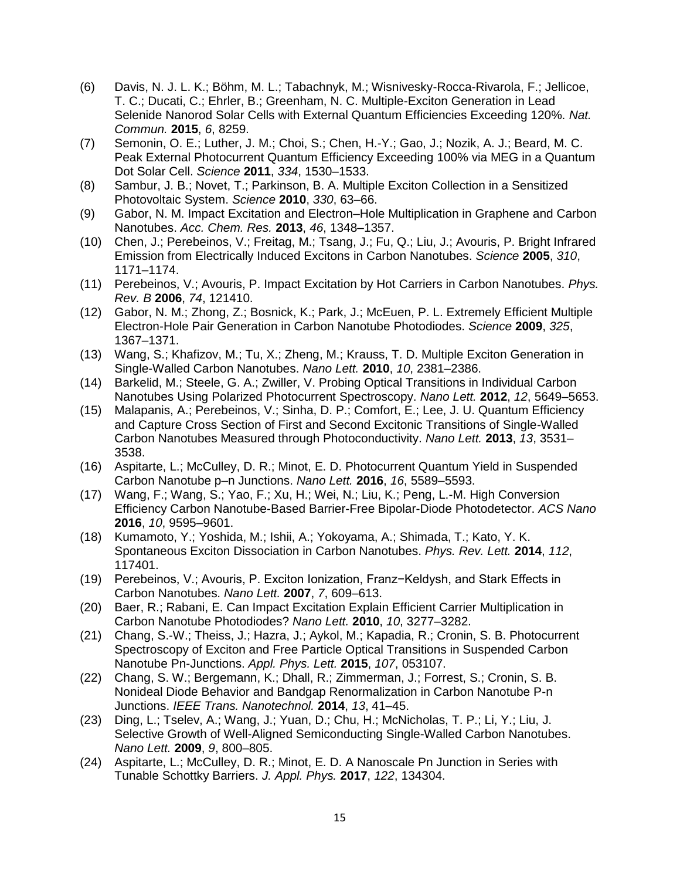- (6) Davis, N. J. L. K.; Böhm, M. L.; Tabachnyk, M.; Wisnivesky-Rocca-Rivarola, F.; Jellicoe, T. C.; Ducati, C.; Ehrler, B.; Greenham, N. C. Multiple-Exciton Generation in Lead Selenide Nanorod Solar Cells with External Quantum Efficiencies Exceeding 120%. *Nat. Commun.* **2015**, *6*, 8259.
- (7) Semonin, O. E.; Luther, J. M.; Choi, S.; Chen, H.-Y.; Gao, J.; Nozik, A. J.; Beard, M. C. Peak External Photocurrent Quantum Efficiency Exceeding 100% via MEG in a Quantum Dot Solar Cell. *Science* **2011**, *334*, 1530–1533.
- (8) Sambur, J. B.; Novet, T.; Parkinson, B. A. Multiple Exciton Collection in a Sensitized Photovoltaic System. *Science* **2010**, *330*, 63–66.
- (9) Gabor, N. M. Impact Excitation and Electron–Hole Multiplication in Graphene and Carbon Nanotubes. *Acc. Chem. Res.* **2013**, *46*, 1348–1357.
- (10) Chen, J.; Perebeinos, V.; Freitag, M.; Tsang, J.; Fu, Q.; Liu, J.; Avouris, P. Bright Infrared Emission from Electrically Induced Excitons in Carbon Nanotubes. *Science* **2005**, *310*, 1171–1174.
- (11) Perebeinos, V.; Avouris, P. Impact Excitation by Hot Carriers in Carbon Nanotubes. *Phys. Rev. B* **2006**, *74*, 121410.
- (12) Gabor, N. M.; Zhong, Z.; Bosnick, K.; Park, J.; McEuen, P. L. Extremely Efficient Multiple Electron-Hole Pair Generation in Carbon Nanotube Photodiodes. *Science* **2009**, *325*, 1367–1371.
- (13) Wang, S.; Khafizov, M.; Tu, X.; Zheng, M.; Krauss, T. D. Multiple Exciton Generation in Single-Walled Carbon Nanotubes. *Nano Lett.* **2010**, *10*, 2381–2386.
- (14) Barkelid, M.; Steele, G. A.; Zwiller, V. Probing Optical Transitions in Individual Carbon Nanotubes Using Polarized Photocurrent Spectroscopy. *Nano Lett.* **2012**, *12*, 5649–5653.
- (15) Malapanis, A.; Perebeinos, V.; Sinha, D. P.; Comfort, E.; Lee, J. U. Quantum Efficiency and Capture Cross Section of First and Second Excitonic Transitions of Single-Walled Carbon Nanotubes Measured through Photoconductivity. *Nano Lett.* **2013**, *13*, 3531– 3538.
- (16) Aspitarte, L.; McCulley, D. R.; Minot, E. D. Photocurrent Quantum Yield in Suspended Carbon Nanotube p–n Junctions. *Nano Lett.* **2016**, *16*, 5589–5593.
- (17) Wang, F.; Wang, S.; Yao, F.; Xu, H.; Wei, N.; Liu, K.; Peng, L.-M. High Conversion Efficiency Carbon Nanotube-Based Barrier-Free Bipolar-Diode Photodetector. *ACS Nano* **2016**, *10*, 9595–9601.
- (18) Kumamoto, Y.; Yoshida, M.; Ishii, A.; Yokoyama, A.; Shimada, T.; Kato, Y. K. Spontaneous Exciton Dissociation in Carbon Nanotubes. *Phys. Rev. Lett.* **2014**, *112*, 117401.
- (19) Perebeinos, V.; Avouris, P. Exciton Ionization, Franz−Keldysh, and Stark Effects in Carbon Nanotubes. *Nano Lett.* **2007**, *7*, 609–613.
- (20) Baer, R.; Rabani, E. Can Impact Excitation Explain Efficient Carrier Multiplication in Carbon Nanotube Photodiodes? *Nano Lett.* **2010**, *10*, 3277–3282.
- (21) Chang, S.-W.; Theiss, J.; Hazra, J.; Aykol, M.; Kapadia, R.; Cronin, S. B. Photocurrent Spectroscopy of Exciton and Free Particle Optical Transitions in Suspended Carbon Nanotube Pn-Junctions. *Appl. Phys. Lett.* **2015**, *107*, 053107.
- (22) Chang, S. W.; Bergemann, K.; Dhall, R.; Zimmerman, J.; Forrest, S.; Cronin, S. B. Nonideal Diode Behavior and Bandgap Renormalization in Carbon Nanotube P-n Junctions. *IEEE Trans. Nanotechnol.* **2014**, *13*, 41–45.
- (23) Ding, L.; Tselev, A.; Wang, J.; Yuan, D.; Chu, H.; McNicholas, T. P.; Li, Y.; Liu, J. Selective Growth of Well-Aligned Semiconducting Single-Walled Carbon Nanotubes. *Nano Lett.* **2009**, *9*, 800–805.
- (24) Aspitarte, L.; McCulley, D. R.; Minot, E. D. A Nanoscale Pn Junction in Series with Tunable Schottky Barriers. *J. Appl. Phys.* **2017**, *122*, 134304.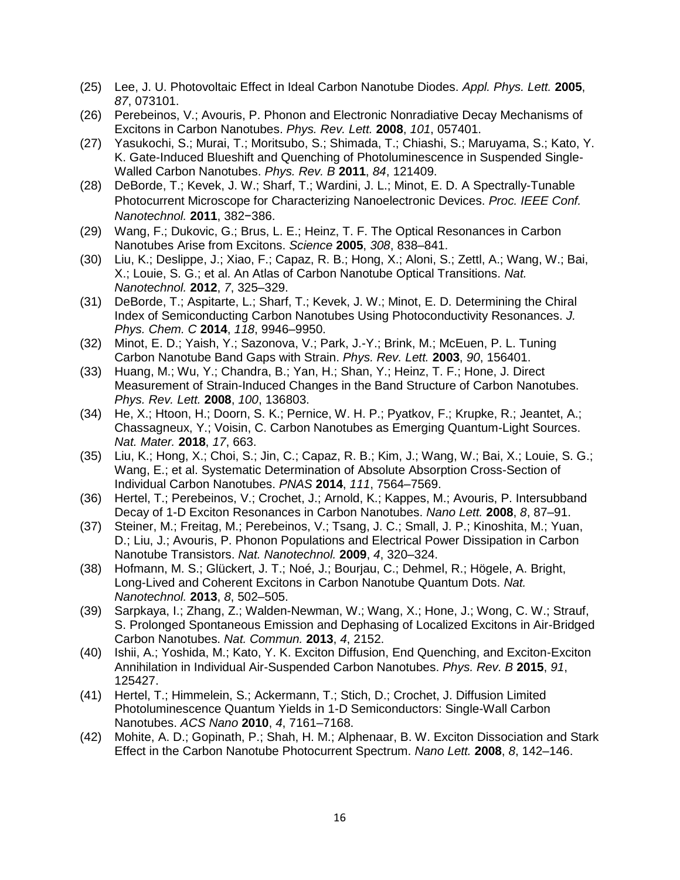- (25) Lee, J. U. Photovoltaic Effect in Ideal Carbon Nanotube Diodes. *Appl. Phys. Lett.* **2005**, *87*, 073101.
- (26) Perebeinos, V.; Avouris, P. Phonon and Electronic Nonradiative Decay Mechanisms of Excitons in Carbon Nanotubes. *Phys. Rev. Lett.* **2008**, *101*, 057401.
- (27) Yasukochi, S.; Murai, T.; Moritsubo, S.; Shimada, T.; Chiashi, S.; Maruyama, S.; Kato, Y. K. Gate-Induced Blueshift and Quenching of Photoluminescence in Suspended Single-Walled Carbon Nanotubes. *Phys. Rev. B* **2011**, *84*, 121409.
- (28) DeBorde, T.; Kevek, J. W.; Sharf, T.; Wardini, J. L.; Minot, E. D. A Spectrally-Tunable Photocurrent Microscope for Characterizing Nanoelectronic Devices. *Proc. IEEE Conf. Nanotechnol.* **2011**, 382−386.
- (29) Wang, F.; Dukovic, G.; Brus, L. E.; Heinz, T. F. The Optical Resonances in Carbon Nanotubes Arise from Excitons. *Science* **2005**, *308*, 838–841.
- (30) Liu, K.; Deslippe, J.; Xiao, F.; Capaz, R. B.; Hong, X.; Aloni, S.; Zettl, A.; Wang, W.; Bai, X.; Louie, S. G.; et al. An Atlas of Carbon Nanotube Optical Transitions. *Nat. Nanotechnol.* **2012**, *7*, 325–329.
- (31) DeBorde, T.; Aspitarte, L.; Sharf, T.; Kevek, J. W.; Minot, E. D. Determining the Chiral Index of Semiconducting Carbon Nanotubes Using Photoconductivity Resonances. *J. Phys. Chem. C* **2014**, *118*, 9946–9950.
- (32) Minot, E. D.; Yaish, Y.; Sazonova, V.; Park, J.-Y.; Brink, M.; McEuen, P. L. Tuning Carbon Nanotube Band Gaps with Strain. *Phys. Rev. Lett.* **2003**, *90*, 156401.
- (33) Huang, M.; Wu, Y.; Chandra, B.; Yan, H.; Shan, Y.; Heinz, T. F.; Hone, J. Direct Measurement of Strain-Induced Changes in the Band Structure of Carbon Nanotubes. *Phys. Rev. Lett.* **2008**, *100*, 136803.
- (34) He, X.; Htoon, H.; Doorn, S. K.; Pernice, W. H. P.; Pyatkov, F.; Krupke, R.; Jeantet, A.; Chassagneux, Y.; Voisin, C. Carbon Nanotubes as Emerging Quantum-Light Sources. *Nat. Mater.* **2018**, *17*, 663.
- (35) Liu, K.; Hong, X.; Choi, S.; Jin, C.; Capaz, R. B.; Kim, J.; Wang, W.; Bai, X.; Louie, S. G.; Wang, E.; et al. Systematic Determination of Absolute Absorption Cross-Section of Individual Carbon Nanotubes. *PNAS* **2014**, *111*, 7564–7569.
- (36) Hertel, T.; Perebeinos, V.; Crochet, J.; Arnold, K.; Kappes, M.; Avouris, P. Intersubband Decay of 1-D Exciton Resonances in Carbon Nanotubes. *Nano Lett.* **2008**, *8*, 87–91.
- (37) Steiner, M.; Freitag, M.; Perebeinos, V.; Tsang, J. C.; Small, J. P.; Kinoshita, M.; Yuan, D.; Liu, J.; Avouris, P. Phonon Populations and Electrical Power Dissipation in Carbon Nanotube Transistors. *Nat. Nanotechnol.* **2009**, *4*, 320–324.
- (38) Hofmann, M. S.; Glückert, J. T.; Noé, J.; Bourjau, C.; Dehmel, R.; Högele, A. Bright, Long-Lived and Coherent Excitons in Carbon Nanotube Quantum Dots. *Nat. Nanotechnol.* **2013**, *8*, 502–505.
- (39) Sarpkaya, I.; Zhang, Z.; Walden-Newman, W.; Wang, X.; Hone, J.; Wong, C. W.; Strauf, S. Prolonged Spontaneous Emission and Dephasing of Localized Excitons in Air-Bridged Carbon Nanotubes. *Nat. Commun.* **2013**, *4*, 2152.
- (40) Ishii, A.; Yoshida, M.; Kato, Y. K. Exciton Diffusion, End Quenching, and Exciton-Exciton Annihilation in Individual Air-Suspended Carbon Nanotubes. *Phys. Rev. B* **2015**, *91*, 125427.
- (41) Hertel, T.; Himmelein, S.; Ackermann, T.; Stich, D.; Crochet, J. Diffusion Limited Photoluminescence Quantum Yields in 1-D Semiconductors: Single-Wall Carbon Nanotubes. *ACS Nano* **2010**, *4*, 7161–7168.
- (42) Mohite, A. D.; Gopinath, P.; Shah, H. M.; Alphenaar, B. W. Exciton Dissociation and Stark Effect in the Carbon Nanotube Photocurrent Spectrum. *Nano Lett.* **2008**, *8*, 142–146.